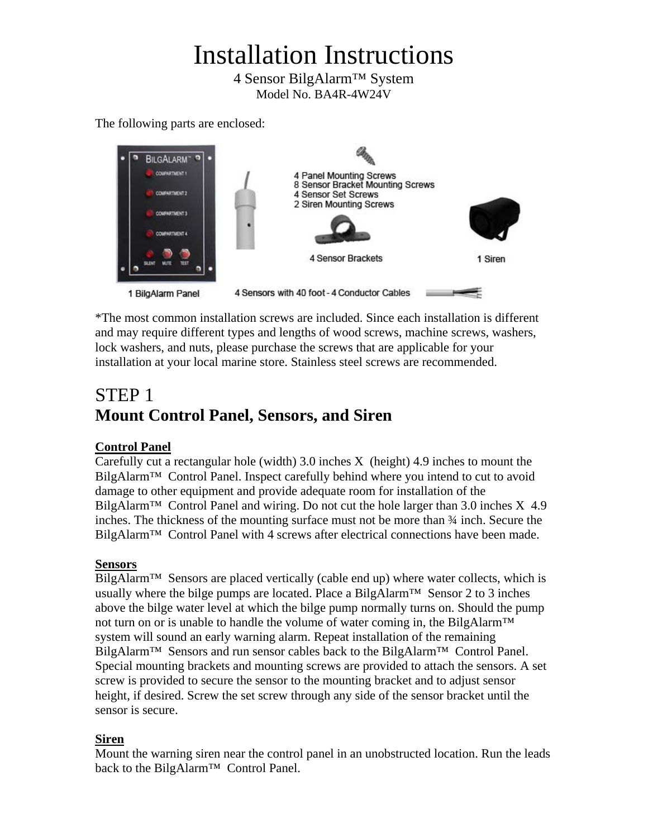# Installation Instructions

4 Sensor BilgAlarm™ System Model No. BA4R-4W24V

The following parts are enclosed:



\*The most common installation screws are included. Since each installation is different and may require different types and lengths of wood screws, machine screws, washers, lock washers, and nuts, please purchase the screws that are applicable for your installation at your local marine store. Stainless steel screws are recommended.

# STEP 1 **Mount Control Panel, Sensors, and Siren**

### **Control Panel**

Carefully cut a rectangular hole (width) 3.0 inches X (height) 4.9 inches to mount the BilgAlarm<sup>™</sup> Control Panel. Inspect carefully behind where you intend to cut to avoid damage to other equipment and provide adequate room for installation of the BilgAlarm<sup>™</sup> Control Panel and wiring. Do not cut the hole larger than 3.0 inches  $X$  4.9 inches. The thickness of the mounting surface must not be more than ¾ inch. Secure the BilgAlarm™ Control Panel with 4 screws after electrical connections have been made.

### **Sensors**

 $Bilg$ Alarm<sup>™</sup> Sensors are placed vertically (cable end up) where water collects, which is usually where the bilge pumps are located. Place a BilgAlarm<sup>TM</sup> Sensor 2 to 3 inches above the bilge water level at which the bilge pump normally turns on. Should the pump not turn on or is unable to handle the volume of water coming in, the BilgAlarm<sup>™</sup> system will sound an early warning alarm. Repeat installation of the remaining BilgAlarm™ Sensors and run sensor cables back to the BilgAlarm™ Control Panel. Special mounting brackets and mounting screws are provided to attach the sensors. A set screw is provided to secure the sensor to the mounting bracket and to adjust sensor height, if desired. Screw the set screw through any side of the sensor bracket until the sensor is secure.

### **Siren**

Mount the warning siren near the control panel in an unobstructed location. Run the leads back to the BilgAlarm™ Control Panel.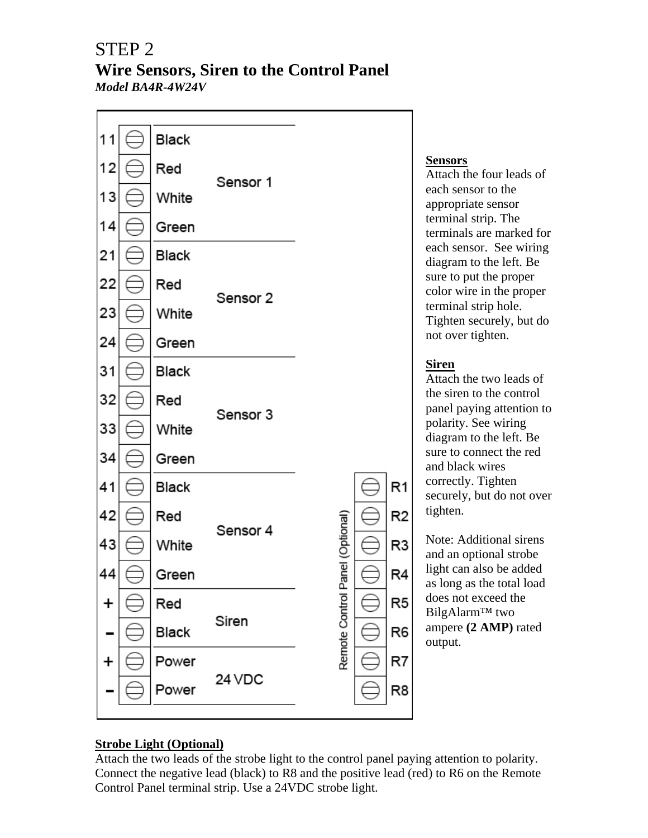### STEP 2 **Wire Sensors, Siren to the Control Panel**  *Model BA4R-4W24V*



### **Sensors**

Attach the four leads of each sensor to the appropriate sensor terminal strip. The terminals are marked for each sensor. See wiring diagram to the left. Be sure to put the proper color wire in the proper terminal strip hole. Tighten securely, but do not over tighten.

### **Siren**

Attach the two leads of the siren to the control panel paying attention to polarity. See wiring diagram to the left. Be sure to connect the red and black wires correctly. Tighten securely, but do not over tighten.

Note: Additional sirens and an optional strobe light can also be added as long as the total load does not exceed the BilgAlarm™ two ampere **(2 AMP)** rated output.

### **Strobe Light (Optional)**

Attach the two leads of the strobe light to the control panel paying attention to polarity. Connect the negative lead (black) to R8 and the positive lead (red) to R6 on the Remote Control Panel terminal strip. Use a 24VDC strobe light.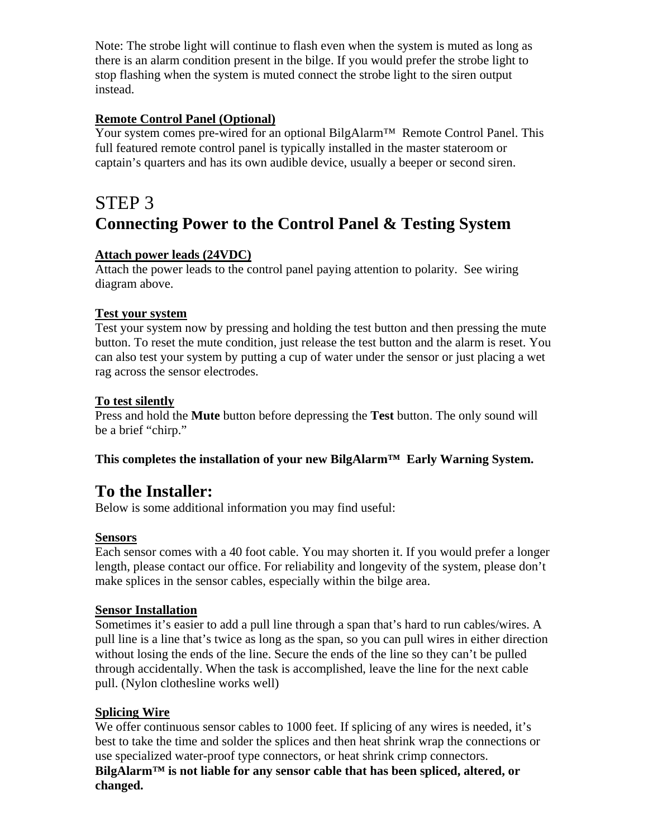Note: The strobe light will continue to flash even when the system is muted as long as there is an alarm condition present in the bilge. If you would prefer the strobe light to stop flashing when the system is muted connect the strobe light to the siren output instead.

### **Remote Control Panel (Optional)**

Your system comes pre-wired for an optional BilgAlarm™ Remote Control Panel. This full featured remote control panel is typically installed in the master stateroom or captain's quarters and has its own audible device, usually a beeper or second siren.

## STEP 3 **Connecting Power to the Control Panel & Testing System**

### **Attach power leads (24VDC)**

Attach the power leads to the control panel paying attention to polarity. See wiring diagram above.

### **Test your system**

Test your system now by pressing and holding the test button and then pressing the mute button. To reset the mute condition, just release the test button and the alarm is reset. You can also test your system by putting a cup of water under the sensor or just placing a wet rag across the sensor electrodes.

### **To test silently**

Press and hold the **Mute** button before depressing the **Test** button. The only sound will be a brief "chirp."

### **This completes the installation of your new BilgAlarm™ Early Warning System.**

### **To the Installer:**

Below is some additional information you may find useful:

### **Sensors**

Each sensor comes with a 40 foot cable. You may shorten it. If you would prefer a longer length, please contact our office. For reliability and longevity of the system, please don't make splices in the sensor cables, especially within the bilge area.

### **Sensor Installation**

Sometimes it's easier to add a pull line through a span that's hard to run cables/wires. A pull line is a line that's twice as long as the span, so you can pull wires in either direction without losing the ends of the line. Secure the ends of the line so they can't be pulled through accidentally. When the task is accomplished, leave the line for the next cable pull. (Nylon clothesline works well)

### **Splicing Wire**

We offer continuous sensor cables to 1000 feet. If splicing of any wires is needed, it's best to take the time and solder the splices and then heat shrink wrap the connections or use specialized water-proof type connectors, or heat shrink crimp connectors. **BilgAlarm™ is not liable for any sensor cable that has been spliced, altered, or changed.**